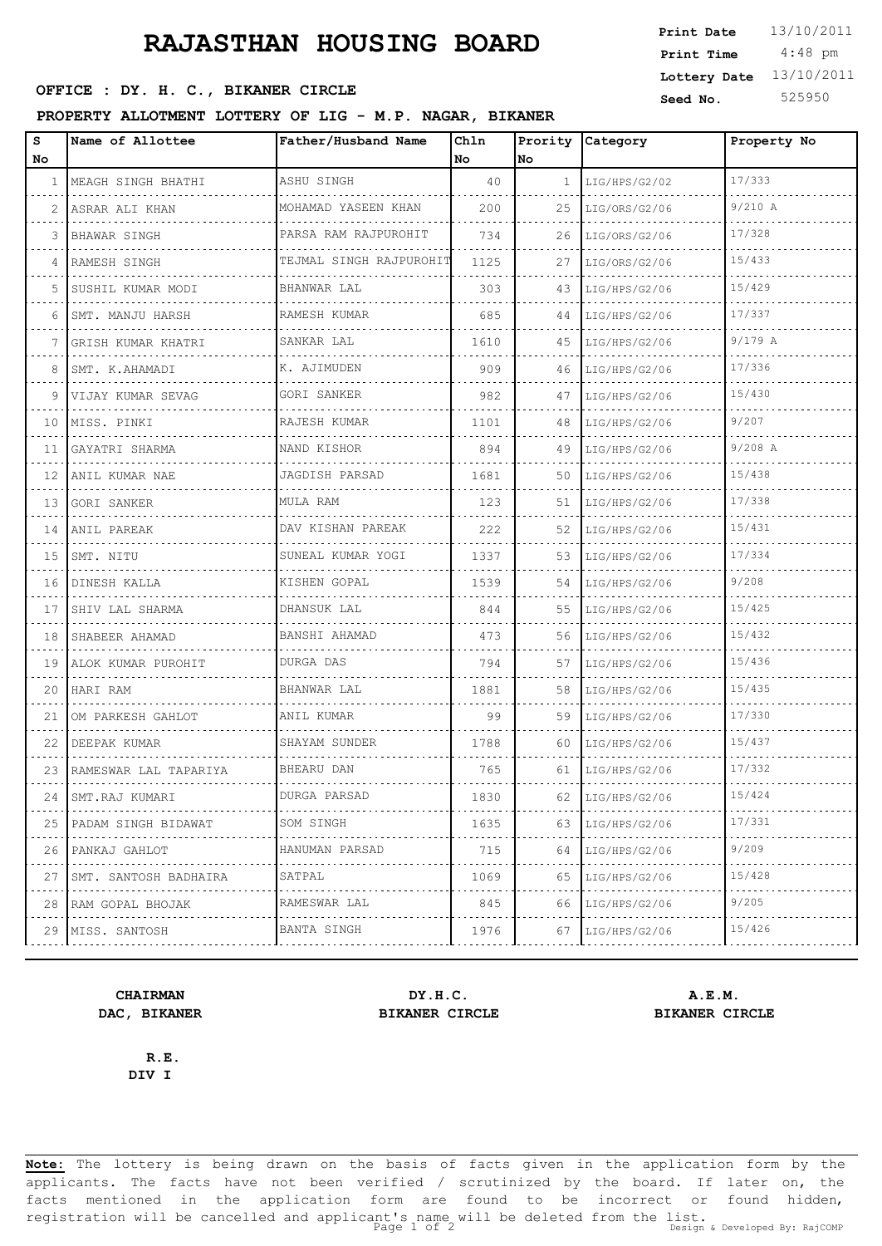# **RAJASTHAN HOUSING BOARD** Print Date 13/10/2011

## **SEED OFFICE : DY. H. C., BIKANER CIRCLE** Seed No. 525950

### **PROPERTY ALLOTMENT LOTTERY OF LIG - M.P. NAGAR, BIKANER**

| s<br>No. | Name of Allottee           | Father/Husband Name          | Chln<br>No. | No           | Prority Category | Property No |
|----------|----------------------------|------------------------------|-------------|--------------|------------------|-------------|
| 1        | MEAGH SINGH BHATHI         | ASHU SINGH                   | 40          | $\mathbf{1}$ | LIG/HPS/G2/02    | 17/333      |
| 2        | ASRAR ALI KHAN             | MOHAMAD YASEEN KHAN          | 200         | 25           | LIG/ORS/G2/06    | 9/210 A     |
| 3        | BHAWAR SINGH               | .<br>PARSA RAM RAJPUROHIT    | 734         | 26           | LIG/ORS/G2/06    | 17/328      |
| 4        | RAMESH SINGH               | TEJMAL SINGH RAJPUROHIT      | 1125        | 27           | LIG/ORS/G2/06    | 15/433      |
| 5        | SUSHIL KUMAR MODI          | BHANWAR LAL                  | 303         | 43           | LIG/HPS/G2/06    | 15/429      |
| 6        | SMT. MANJU HARSH           | RAMESH KUMAR                 | 685         | 44           | LIG/HPS/G2/06    | 17/337      |
| 7        | GRISH KUMAR KHATRI         | .<br>SANKAR LAL              | 1610        | 45           | LIG/HPS/G2/06    | 9/179A      |
| 8        | SMT. K.AHAMADI             | K. AJIMUDEN                  | 909         | 46           | LIG/HPS/G2/06    | 17/336      |
| 9        | VIJAY KUMAR SEVAG          | .<br>GORI SANKER             | 982         | 47           | LIG/HPS/G2/06    | 15/430      |
| 10       | MISS. PINKI                | RAJESH KUMAR<br>.            | 1101        | 48           | LIG/HPS/G2/06    | 9/207       |
| 11       | GAYATRI SHARMA             | NAND KISHOR                  | 894         | 49           | LIG/HPS/G2/06    | $9/208$ A   |
| 12       | ANIL KUMAR NAE             | JAGDISH PARSAD<br>.          | 1681        | 50           | LIG/HPS/G2/06    | 15/438      |
| 13       | GORI SANKER                | MULA RAM                     | 123         | 51           | LIG/HPS/G2/06    | 17/338      |
| 14       | ANIL PAREAK                | DAV KISHAN PAREAK<br>.       | 222         | 52           | LIG/HPS/G2/06    | 15/431      |
| 15       | SMT. NITU                  | SUNEAL KUMAR YOGI<br>.       | 1337        | 53           | LIG/HPS/G2/06    | 17/334      |
| 16       | DINESH KALLA               | KISHEN GOPAL<br>. <u>.</u> . | 1539        | 54           | LIG/HPS/G2/06    | 9/208       |
| 17       | SHIV LAL SHARMA            | DHANSUK LAL                  | 844         | 55           | LIG/HPS/G2/06    | 15/425      |
| 18       | SHABEER AHAMAD             | BANSHI AHAMAD<br>.           | 473         | 56           | LIG/HPS/G2/06    | 15/432      |
| 19       | ALOK KUMAR PUROHIT         | DURGA DAS                    | 794         | 57           | LIG/HPS/G2/06    | 15/436      |
| 20       | HARI RAM                   | BHANWAR LAL                  | 1881        | 58           | LIG/HPS/G2/06    | 15/435      |
| 21       | OM PARKESH GAHLOT          | ANIL KUMAR                   | 99          | 59           | LIG/HPS/G2/06    | 17/330      |
| 22       | DEEPAK KUMAR               | SHAYAM SUNDER                | 1788        | 60           | LIG/HPS/G2/06    | 15/437      |
| 23       | RAMESWAR LAL TAPARIYA      | BHEARU DAN                   | 765         | 61           | LIG/HPS/G2/06    | 17/332      |
|          | 24 SMT.RAJ KUMARI          | DURGA PARSAD                 | 1830        | 62           | LIG/HPS/G2/06    | 15/424      |
| 25       | PADAM SINGH BIDAWAT        | SOM SINGH                    | 1635        | 63           | LIG/HPS/G2/06    | 17/331      |
| 26       | PANKAJ GAHLOT              | HANUMAN PARSAD               | 715         | 64           | LIG/HPS/G2/06    | 9/209       |
| 27       | SMT. SANTOSH BADHAIRA<br>. | SATPAL                       | 1069        | 65           | LIG/HPS/G2/06    | 15/428      |
| 28       | RAM GOPAL BHOJAK           | RAMESWAR LAL                 | 845         | 66           | LIG/HPS/G2/06    | 9/205       |
|          | 29 MISS. SANTOSH           | BANTA SINGH                  | 1976        | 67           | LIG/HPS/G2/06    | 15/426      |

# **DAC, BIKANER BIKANER CIRCLE BIKANER CIRCLE**

**CHAIRMAN DY.H.C. A.E.M.**

**R.E. DIV I**

**Note:** The lottery is being drawn on the basis of facts given in the application form by the applicants. The facts have not been verified / scrutinized by the board. If later on, the facts mentioned in the application form are found to be incorrect or found hidden, registration will be cancelled and applicant's name will be deleted from the list.<br>Page 1 of 2